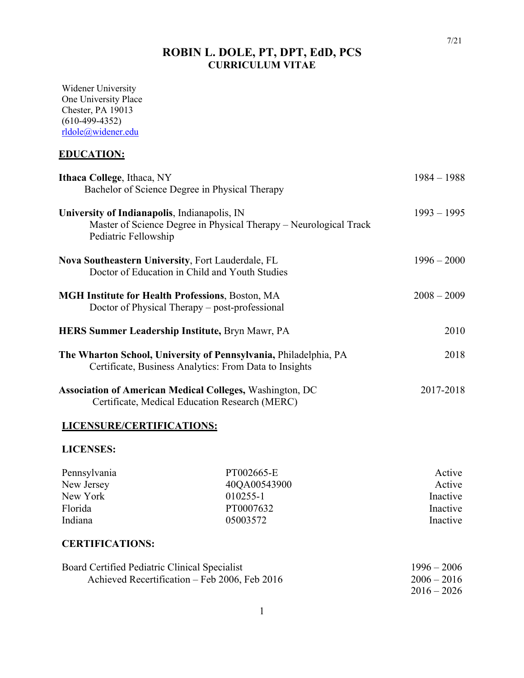# **ROBIN L. DOLE, PT, DPT, EdD, PCS CURRICULUM VITAE**

Widener University One University Place Chester, PA 19013 (610-499-4352) rldole@widener.edu

# **EDUCATION:**

| Ithaca College, Ithaca, NY                                                                                                                | $1984 - 1988$ |
|-------------------------------------------------------------------------------------------------------------------------------------------|---------------|
| Bachelor of Science Degree in Physical Therapy                                                                                            |               |
| University of Indianapolis, Indianapolis, IN<br>Master of Science Degree in Physical Therapy – Neurological Track<br>Pediatric Fellowship | $1993 - 1995$ |
| <b>Nova Southeastern University, Fort Lauderdale, FL</b><br>Doctor of Education in Child and Youth Studies                                | $1996 - 2000$ |
| <b>MGH Institute for Health Professions, Boston, MA</b><br>Doctor of Physical Therapy – post-professional                                 | $2008 - 2009$ |
| <b>HERS Summer Leadership Institute, Bryn Mawr, PA</b>                                                                                    | 2010          |
| The Wharton School, University of Pennsylvania, Philadelphia, PA<br>Certificate, Business Analytics: From Data to Insights                | 2018          |
| <b>Association of American Medical Colleges, Washington, DC</b><br>Certificate, Medical Education Research (MERC)                         | 2017-2018     |

### **LICENSURE/CERTIFICATIONS:**

### **LICENSES:**

| Pennsylvania | PT002665-E   | Active   |
|--------------|--------------|----------|
| New Jersey   | 40QA00543900 | Active   |
| New York     | 010255-1     | Inactive |
| Florida      | PT0007632    | Inactive |
| Indiana      | 05003572     | Inactive |

### **CERTIFICATIONS:**

| Board Certified Pediatric Clinical Specialist | $1996 - 2006$ |
|-----------------------------------------------|---------------|
| Achieved Recertification – Feb 2006, Feb 2016 | $2006 - 2016$ |
|                                               | $2016 - 2026$ |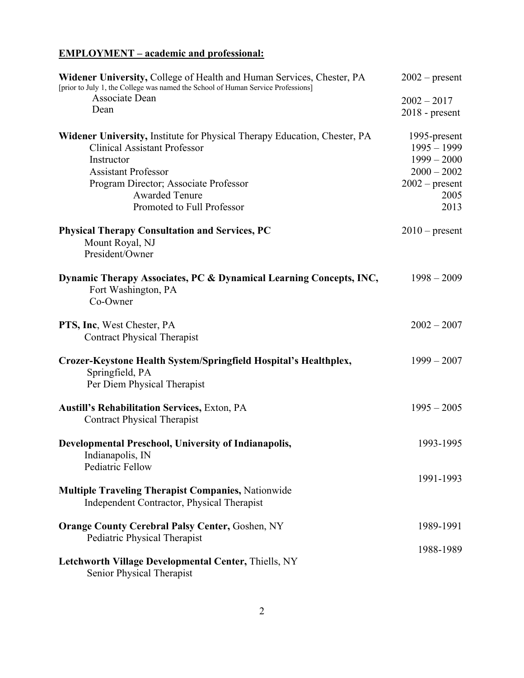# **EMPLOYMENT – academic and professional:**

| Widener University, College of Health and Human Services, Chester, PA<br>[prior to July 1, the College was named the School of Human Service Professions] | $2002$ – present                  |
|-----------------------------------------------------------------------------------------------------------------------------------------------------------|-----------------------------------|
| Associate Dean<br>Dean                                                                                                                                    | $2002 - 2017$<br>$2018$ - present |
|                                                                                                                                                           |                                   |
| Widener University, Institute for Physical Therapy Education, Chester, PA                                                                                 | 1995-present                      |
| <b>Clinical Assistant Professor</b>                                                                                                                       | $1995 - 1999$                     |
| Instructor                                                                                                                                                | $1999 - 2000$                     |
| <b>Assistant Professor</b>                                                                                                                                | $2000 - 2002$                     |
| Program Director; Associate Professor                                                                                                                     | $2002$ – present                  |
| <b>Awarded Tenure</b>                                                                                                                                     | 2005                              |
| Promoted to Full Professor                                                                                                                                | 2013                              |
| <b>Physical Therapy Consultation and Services, PC</b><br>Mount Royal, NJ                                                                                  | $2010$ – present                  |
| President/Owner                                                                                                                                           |                                   |
| Dynamic Therapy Associates, PC & Dynamical Learning Concepts, INC,<br>Fort Washington, PA<br>Co-Owner                                                     | $1998 - 2009$                     |
| <b>PTS, Inc.</b> West Chester, PA                                                                                                                         | $2002 - 2007$                     |
| <b>Contract Physical Therapist</b>                                                                                                                        |                                   |
| Crozer-Keystone Health System/Springfield Hospital's Healthplex,<br>Springfield, PA<br>Per Diem Physical Therapist                                        | $1999 - 2007$                     |
| <b>Austill's Rehabilitation Services, Exton, PA</b><br><b>Contract Physical Therapist</b>                                                                 | $1995 - 2005$                     |
| Developmental Preschool, University of Indianapolis,<br>Indianapolis, IN<br>Pediatric Fellow                                                              | 1993-1995                         |
|                                                                                                                                                           | 1991-1993                         |
| <b>Multiple Traveling Therapist Companies, Nationwide</b><br>Independent Contractor, Physical Therapist                                                   |                                   |
| <b>Orange County Cerebral Palsy Center, Goshen, NY</b>                                                                                                    | 1989-1991                         |
| Pediatric Physical Therapist                                                                                                                              |                                   |
| Letchworth Village Developmental Center, Thiells, NY                                                                                                      | 1988-1989                         |
| Senior Physical Therapist                                                                                                                                 |                                   |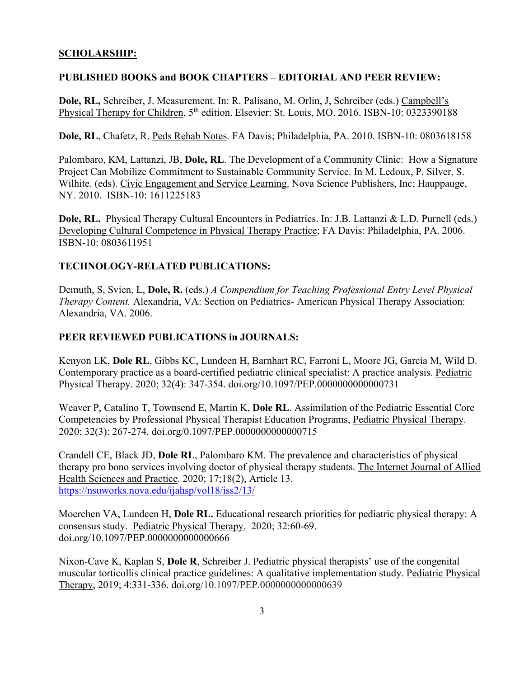### **SCHOLARSHIP:**

### **PUBLISHED BOOKS and BOOK CHAPTERS – EDITORIAL AND PEER REVIEW:**

**Dole, RL,** Schreiber, J. Measurement. In: R. Palisano, M. Orlin, J, Schreiber (eds.) Campbell's Physical Therapy for Children, 5<sup>th</sup> edition. Elsevier: St. Louis, MO. 2016. ISBN-10: 0323390188

**Dole, RL**, Chafetz, R. Peds Rehab Notes. FA Davis; Philadelphia, PA. 2010. ISBN-10: 0803618158

Palombaro, KM, Lattanzi, JB, **Dole, RL**. The Development of a Community Clinic: How a Signature Project Can Mobilize Commitment to Sustainable Community Service. In M. Ledoux, P. Silver, S. Wilhite. (eds). Civic Engagement and Service Learning. Nova Science Publishers, Inc; Hauppauge, NY. 2010. ISBN-10: 1611225183

**Dole, RL.** Physical Therapy Cultural Encounters in Pediatrics. In: J.B. Lattanzi & L.D. Purnell (eds.) Developing Cultural Competence in Physical Therapy Practice; FA Davis: Philadelphia, PA. 2006. ISBN-10: 0803611951

### **TECHNOLOGY-RELATED PUBLICATIONS:**

Demuth, S, Svien, L, **Dole, R.** (eds.) *A Compendium for Teaching Professional Entry Level Physical Therapy Content.* Alexandria, VA: Section on Pediatrics- American Physical Therapy Association: Alexandria, VA. 2006.

### **PEER REVIEWED PUBLICATIONS in JOURNALS:**

Kenyon LK, **Dole RL**, Gibbs KC, Lundeen H, Barnhart RC, Farroni L, Moore JG, Garcia M, Wild D. Contemporary practice as a board-certified pediatric clinical specialist: A practice analysis. Pediatric Physical Therapy. 2020; 32(4): 347-354. doi.org/10.1097/PEP.0000000000000731

Weaver P, Catalino T, Townsend E, Martin K, **Dole RL**. Assimilation of the Pediatric Essential Core Competencies by Professional Physical Therapist Education Programs, Pediatric Physical Therapy. 2020; 32(3): 267-274. doi.org/0.1097/PEP.0000000000000715

Crandell CE, Black JD, **Dole RL**, Palombaro KM. The prevalence and characteristics of physical therapy pro bono services involving doctor of physical therapy students. The Internet Journal of Allied Health Sciences and Practice. 2020; 17;18(2), Article 13. https://nsuworks.nova.edu/ijahsp/vol18/iss2/13/

Moerchen VA, Lundeen H, **Dole RL.** Educational research priorities for pediatric physical therapy: A consensus study. Pediatric Physical Therapy. 2020; 32:60-69. doi.org/10.1097/PEP.0000000000000666

Nixon-Cave K, Kaplan S, **Dole R**, Schreiber J. Pediatric physical therapists' use of the congenital muscular torticollis clinical practice guidelines: A qualitative implementation study. Pediatric Physical Therapy, 2019; 4:331-336. doi.org/10.1097/PEP.0000000000000639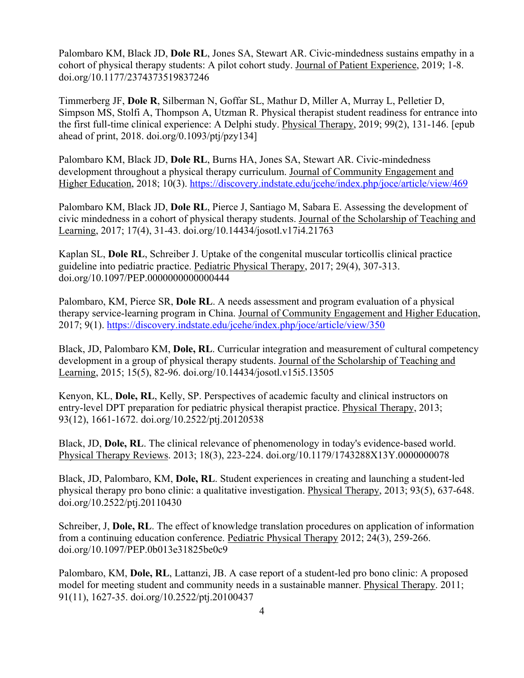Palombaro KM, Black JD, **Dole RL**, Jones SA, Stewart AR. Civic-mindedness sustains empathy in a cohort of physical therapy students: A pilot cohort study. Journal of Patient Experience, 2019; 1-8. doi.org/10.1177/2374373519837246

Timmerberg JF, **Dole R**, Silberman N, Goffar SL, Mathur D, Miller A, Murray L, Pelletier D, Simpson MS, Stolfi A, Thompson A, Utzman R. Physical therapist student readiness for entrance into the first full-time clinical experience: A Delphi study. Physical Therapy, 2019; 99(2), 131-146. [epub ahead of print, 2018. doi.org/0.1093/ptj/pzy134]

Palombaro KM, Black JD, **Dole RL**, Burns HA, Jones SA, Stewart AR. Civic-mindedness development throughout a physical therapy curriculum. Journal of Community Engagement and Higher Education, 2018; 10(3). https://discovery.indstate.edu/jcehe/index.php/joce/article/view/469

Palombaro KM, Black JD, **Dole RL**, Pierce J, Santiago M, Sabara E. Assessing the development of civic mindedness in a cohort of physical therapy students. Journal of the Scholarship of Teaching and Learning, 2017; 17(4), 31-43. doi.org/10.14434/josotl.v17i4.21763

Kaplan SL, **Dole RL**, Schreiber J. Uptake of the congenital muscular torticollis clinical practice guideline into pediatric practice. Pediatric Physical Therapy, 2017; 29(4), 307-313. doi.org/10.1097/PEP.0000000000000444

Palombaro, KM, Pierce SR, **Dole RL**. A needs assessment and program evaluation of a physical therapy service-learning program in China. Journal of Community Engagement and Higher Education, 2017; 9(1). https://discovery.indstate.edu/jcehe/index.php/joce/article/view/350

Black, JD, Palombaro KM, **Dole, RL**. Curricular integration and measurement of cultural competency development in a group of physical therapy students. Journal of the Scholarship of Teaching and Learning, 2015; 15(5), 82-96. doi.org/10.14434/josotl.v15i5.13505

Kenyon, KL, **Dole, RL**, Kelly, SP. Perspectives of academic faculty and clinical instructors on entry-level DPT preparation for pediatric physical therapist practice. Physical Therapy, 2013; 93(12), 1661-1672. doi.org/10.2522/ptj.20120538

Black, JD, **Dole, RL**. The clinical relevance of phenomenology in today's evidence-based world. Physical Therapy Reviews. 2013; 18(3), 223-224. doi.org/10.1179/1743288X13Y.0000000078

Black, JD, Palombaro, KM, **Dole, RL**. Student experiences in creating and launching a student-led physical therapy pro bono clinic: a qualitative investigation. Physical Therapy, 2013; 93(5), 637-648. doi.org/10.2522/ptj.20110430

Schreiber, J, **Dole, RL**. The effect of knowledge translation procedures on application of information from a continuing education conference. Pediatric Physical Therapy 2012; 24(3), 259-266. doi.org/10.1097/PEP.0b013e31825be0c9

Palombaro, KM, **Dole, RL**, Lattanzi, JB. A case report of a student-led pro bono clinic: A proposed model for meeting student and community needs in a sustainable manner. Physical Therapy. 2011; 91(11), 1627-35. doi.org/10.2522/ptj.20100437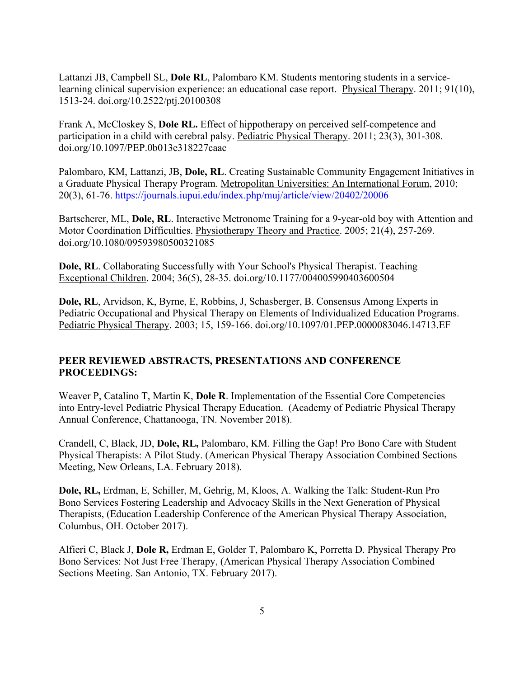Lattanzi JB, Campbell SL, **Dole RL**, Palombaro KM. Students mentoring students in a servicelearning clinical supervision experience: an educational case report. Physical Therapy. 2011; 91(10), 1513-24. doi.org/10.2522/ptj.20100308

Frank A, McCloskey S, **Dole RL.** Effect of hippotherapy on perceived self-competence and participation in a child with cerebral palsy. Pediatric Physical Therapy. 2011; 23(3), 301-308. doi.org/10.1097/PEP.0b013e318227caac

Palombaro, KM, Lattanzi, JB, **Dole, RL**. Creating Sustainable Community Engagement Initiatives in a Graduate Physical Therapy Program. Metropolitan Universities: An International Forum, 2010; 20(3), 61-76. https://journals.iupui.edu/index.php/muj/article/view/20402/20006

Bartscherer, ML, **Dole, RL**. Interactive Metronome Training for a 9-year-old boy with Attention and Motor Coordination Difficulties. Physiotherapy Theory and Practice. 2005; 21(4), 257-269. doi.org/10.1080/09593980500321085

**Dole, RL**. Collaborating Successfully with Your School's Physical Therapist. Teaching Exceptional Children. 2004; 36(5), 28-35. doi.org/10.1177/004005990403600504

**Dole, RL**, Arvidson, K, Byrne, E, Robbins, J, Schasberger, B. Consensus Among Experts in Pediatric Occupational and Physical Therapy on Elements of Individualized Education Programs. Pediatric Physical Therapy. 2003; 15, 159-166. doi.org/10.1097/01.PEP.0000083046.14713.EF

### **PEER REVIEWED ABSTRACTS, PRESENTATIONS AND CONFERENCE PROCEEDINGS:**

Weaver P, Catalino T, Martin K, **Dole R**. Implementation of the Essential Core Competencies into Entry-level Pediatric Physical Therapy Education. (Academy of Pediatric Physical Therapy Annual Conference, Chattanooga, TN. November 2018).

Crandell, C, Black, JD, **Dole, RL,** Palombaro, KM. Filling the Gap! Pro Bono Care with Student Physical Therapists: A Pilot Study. (American Physical Therapy Association Combined Sections Meeting, New Orleans, LA. February 2018).

**Dole, RL,** Erdman, E, Schiller, M, Gehrig, M, Kloos, A. Walking the Talk: Student-Run Pro Bono Services Fostering Leadership and Advocacy Skills in the Next Generation of Physical Therapists, (Education Leadership Conference of the American Physical Therapy Association, Columbus, OH. October 2017).

Alfieri C, Black J, **Dole R,** Erdman E, Golder T, Palombaro K, Porretta D. Physical Therapy Pro Bono Services: Not Just Free Therapy, (American Physical Therapy Association Combined Sections Meeting. San Antonio, TX. February 2017).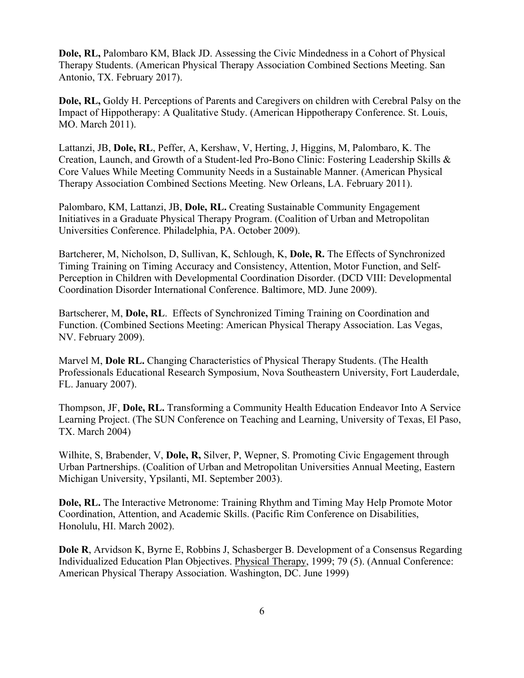**Dole, RL,** Palombaro KM, Black JD. Assessing the Civic Mindedness in a Cohort of Physical Therapy Students. (American Physical Therapy Association Combined Sections Meeting. San Antonio, TX. February 2017).

**Dole, RL,** Goldy H. Perceptions of Parents and Caregivers on children with Cerebral Palsy on the Impact of Hippotherapy: A Qualitative Study. (American Hippotherapy Conference. St. Louis, MO. March 2011).

Lattanzi, JB, **Dole, RL**, Peffer, A, Kershaw, V, Herting, J, Higgins, M, Palombaro, K. The Creation, Launch, and Growth of a Student-led Pro-Bono Clinic: Fostering Leadership Skills & Core Values While Meeting Community Needs in a Sustainable Manner. (American Physical Therapy Association Combined Sections Meeting. New Orleans, LA. February 2011).

Palombaro, KM, Lattanzi, JB, **Dole, RL.** Creating Sustainable Community Engagement Initiatives in a Graduate Physical Therapy Program. (Coalition of Urban and Metropolitan Universities Conference. Philadelphia, PA. October 2009).

Bartcherer, M, Nicholson, D, Sullivan, K, Schlough, K, **Dole, R.** The Effects of Synchronized Timing Training on Timing Accuracy and Consistency, Attention, Motor Function, and Self-Perception in Children with Developmental Coordination Disorder. (DCD VIII: Developmental Coordination Disorder International Conference. Baltimore, MD. June 2009).

Bartscherer, M, **Dole, RL**. Effects of Synchronized Timing Training on Coordination and Function. (Combined Sections Meeting: American Physical Therapy Association. Las Vegas, NV. February 2009).

Marvel M, **Dole RL.** Changing Characteristics of Physical Therapy Students. (The Health Professionals Educational Research Symposium, Nova Southeastern University, Fort Lauderdale, FL. January 2007).

Thompson, JF, **Dole, RL.** Transforming a Community Health Education Endeavor Into A Service Learning Project. (The SUN Conference on Teaching and Learning, University of Texas, El Paso, TX. March 2004)

Wilhite, S, Brabender, V, **Dole, R,** Silver, P, Wepner, S. Promoting Civic Engagement through Urban Partnerships. (Coalition of Urban and Metropolitan Universities Annual Meeting, Eastern Michigan University, Ypsilanti, MI. September 2003).

**Dole, RL.** The Interactive Metronome: Training Rhythm and Timing May Help Promote Motor Coordination, Attention, and Academic Skills. (Pacific Rim Conference on Disabilities, Honolulu, HI. March 2002).

**Dole R**, Arvidson K, Byrne E, Robbins J, Schasberger B. Development of a Consensus Regarding Individualized Education Plan Objectives. Physical Therapy, 1999; 79 (5). (Annual Conference: American Physical Therapy Association. Washington, DC. June 1999)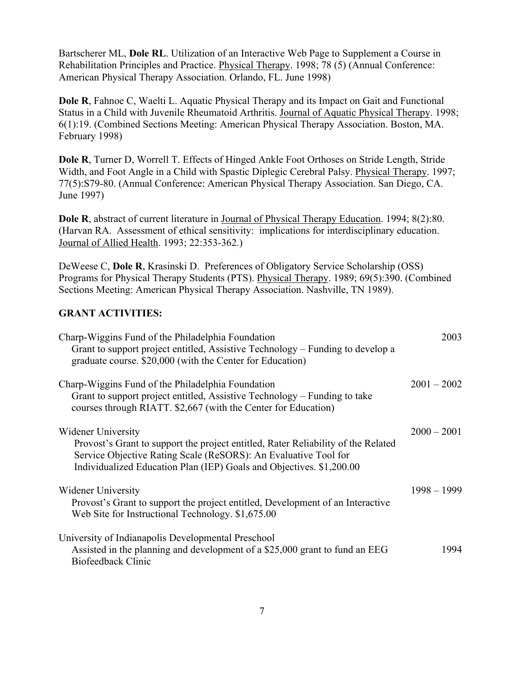Bartscherer ML, **Dole RL**. Utilization of an Interactive Web Page to Supplement a Course in Rehabilitation Principles and Practice. Physical Therapy. 1998; 78 (5) (Annual Conference: American Physical Therapy Association. Orlando, FL. June 1998)

**Dole R**, Fahnoe C, Waelti L. Aquatic Physical Therapy and its Impact on Gait and Functional Status in a Child with Juvenile Rheumatoid Arthritis. Journal of Aquatic Physical Therapy. 1998; 6(1):19. (Combined Sections Meeting: American Physical Therapy Association. Boston, MA. February 1998)

**Dole R**, Turner D, Worrell T. Effects of Hinged Ankle Foot Orthoses on Stride Length, Stride Width, and Foot Angle in a Child with Spastic Diplegic Cerebral Palsy. Physical Therapy. 1997; 77(5):S79-80. (Annual Conference: American Physical Therapy Association. San Diego, CA. June 1997)

**Dole R**, abstract of current literature in Journal of Physical Therapy Education. 1994; 8(2):80. (Harvan RA. Assessment of ethical sensitivity: implications for interdisciplinary education. Journal of Allied Health. 1993; 22:353-362.)

DeWeese C, **Dole R**, Krasinski D. Preferences of Obligatory Service Scholarship (OSS) Programs for Physical Therapy Students (PTS). Physical Therapy. 1989; 69(5):390. (Combined Sections Meeting: American Physical Therapy Association. Nashville, TN 1989).

#### **GRANT ACTIVITIES:**

| Charp-Wiggins Fund of the Philadelphia Foundation<br>Grant to support project entitled, Assistive Technology – Funding to develop a<br>graduate course. \$20,000 (with the Center for Education)                                                   | 2003          |
|----------------------------------------------------------------------------------------------------------------------------------------------------------------------------------------------------------------------------------------------------|---------------|
| Charp-Wiggins Fund of the Philadelphia Foundation<br>Grant to support project entitled, Assistive Technology – Funding to take<br>courses through RIATT. \$2,667 (with the Center for Education)                                                   | $2001 - 2002$ |
| Widener University<br>Provost's Grant to support the project entitled, Rater Reliability of the Related<br>Service Objective Rating Scale (ReSORS): An Evaluative Tool for<br>Individualized Education Plan (IEP) Goals and Objectives. \$1,200.00 | $2000 - 2001$ |
| <b>Widener University</b><br>Provost's Grant to support the project entitled, Development of an Interactive<br>Web Site for Instructional Technology. \$1,675.00                                                                                   | $1998 - 1999$ |
| University of Indianapolis Developmental Preschool<br>Assisted in the planning and development of a \$25,000 grant to fund an EEG<br>Biofeedback Clinic                                                                                            | 1994          |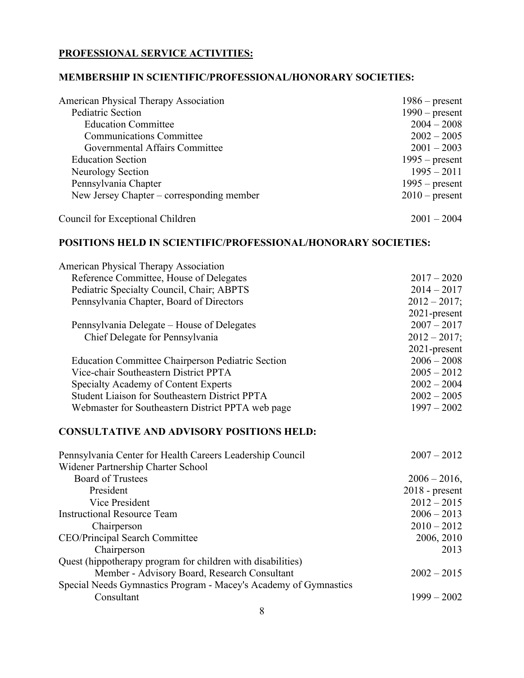### **PROFESSIONAL SERVICE ACTIVITIES:**

### **MEMBERSHIP IN SCIENTIFIC/PROFESSIONAL/HONORARY SOCIETIES:**

| <b>American Physical Therapy Association</b> | $1986$ – present |
|----------------------------------------------|------------------|
| Pediatric Section                            | $1990$ – present |
| <b>Education Committee</b>                   | $2004 - 2008$    |
| <b>Communications Committee</b>              | $2002 - 2005$    |
| Governmental Affairs Committee               | $2001 - 2003$    |
| <b>Education Section</b>                     | $1995$ – present |
| Neurology Section                            | $1995 - 2011$    |
| Pennsylvania Chapter                         | $1995$ – present |
| New Jersey Chapter – corresponding member    | $2010$ – present |
| Council for Exceptional Children             | $2001 - 2004$    |

### **POSITIONS HELD IN SCIENTIFIC/PROFESSIONAL/HONORARY SOCIETIES:**

| <b>American Physical Therapy Association</b>                     |                  |
|------------------------------------------------------------------|------------------|
| Reference Committee, House of Delegates                          | $2017 - 2020$    |
| Pediatric Specialty Council, Chair; ABPTS                        | $2014 - 2017$    |
| Pennsylvania Chapter, Board of Directors                         | $2012 - 2017;$   |
|                                                                  | 2021-present     |
| Pennsylvania Delegate – House of Delegates                       | $2007 - 2017$    |
| Chief Delegate for Pennsylvania                                  | $2012 - 2017;$   |
|                                                                  | 2021-present     |
| <b>Education Committee Chairperson Pediatric Section</b>         | $2006 - 2008$    |
| Vice-chair Southeastern District PPTA                            | $2005 - 2012$    |
| Specialty Academy of Content Experts                             | $2002 - 2004$    |
| Student Liaison for Southeastern District PPTA                   | $2002 - 2005$    |
| Webmaster for Southeastern District PPTA web page                | $1997 - 2002$    |
| <b>CONSULTATIVE AND ADVISORY POSITIONS HELD:</b>                 |                  |
| Pennsylvania Center for Health Careers Leadership Council        | $2007 - 2012$    |
| Widener Partnership Charter School                               |                  |
| <b>Board of Trustees</b>                                         | $2006 - 2016$ ,  |
| President                                                        | $2018$ - present |
| Vice President                                                   | $2012 - 2015$    |
| <b>Instructional Resource Team</b>                               | $2006 - 2013$    |
| Chairperson                                                      | $2010 - 2012$    |
| <b>CEO/Principal Search Committee</b>                            | 2006, 2010       |
| Chairperson                                                      | 2013             |
| Quest (hippotherapy program for children with disabilities)      |                  |
| Member - Advisory Board, Research Consultant                     | $2002 - 2015$    |
| Special Needs Gymnastics Program - Macey's Academy of Gymnastics |                  |
| Consultant                                                       | $1999 - 2002$    |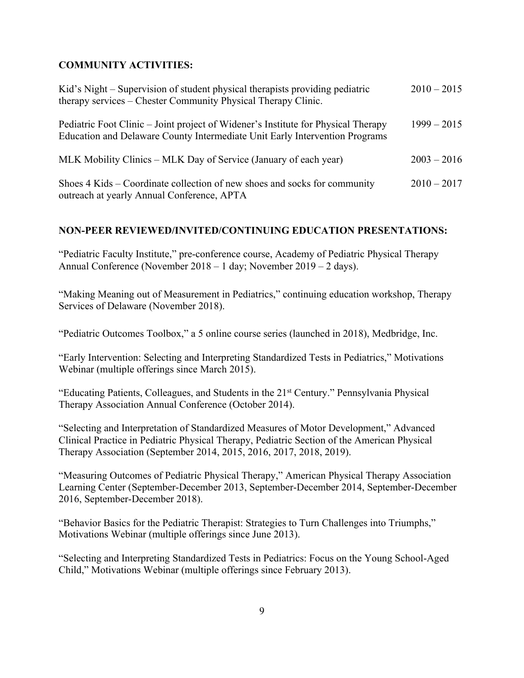### **COMMUNITY ACTIVITIES:**

| Kid's Night – Supervision of student physical therapists providing pediatric<br>therapy services – Chester Community Physical Therapy Clinic.                    | $2010 - 2015$ |
|------------------------------------------------------------------------------------------------------------------------------------------------------------------|---------------|
| Pediatric Foot Clinic – Joint project of Widener's Institute for Physical Therapy<br>Education and Delaware County Intermediate Unit Early Intervention Programs | $1999 - 2015$ |
| MLK Mobility Clinics – MLK Day of Service (January of each year)                                                                                                 | $2003 - 2016$ |
| Shoes 4 Kids – Coordinate collection of new shoes and socks for community<br>outreach at yearly Annual Conference, APTA                                          | $2010 - 2017$ |

### **NON-PEER REVIEWED/INVITED/CONTINUING EDUCATION PRESENTATIONS:**

"Pediatric Faculty Institute," pre-conference course, Academy of Pediatric Physical Therapy Annual Conference (November 2018 – 1 day; November 2019 – 2 days).

"Making Meaning out of Measurement in Pediatrics," continuing education workshop, Therapy Services of Delaware (November 2018).

"Pediatric Outcomes Toolbox," a 5 online course series (launched in 2018), Medbridge, Inc.

"Early Intervention: Selecting and Interpreting Standardized Tests in Pediatrics," Motivations Webinar (multiple offerings since March 2015).

"Educating Patients, Colleagues, and Students in the 21st Century." Pennsylvania Physical Therapy Association Annual Conference (October 2014).

"Selecting and Interpretation of Standardized Measures of Motor Development," Advanced Clinical Practice in Pediatric Physical Therapy, Pediatric Section of the American Physical Therapy Association (September 2014, 2015, 2016, 2017, 2018, 2019).

"Measuring Outcomes of Pediatric Physical Therapy," American Physical Therapy Association Learning Center (September-December 2013, September-December 2014, September-December 2016, September-December 2018).

"Behavior Basics for the Pediatric Therapist: Strategies to Turn Challenges into Triumphs," Motivations Webinar (multiple offerings since June 2013).

"Selecting and Interpreting Standardized Tests in Pediatrics: Focus on the Young School-Aged Child," Motivations Webinar (multiple offerings since February 2013).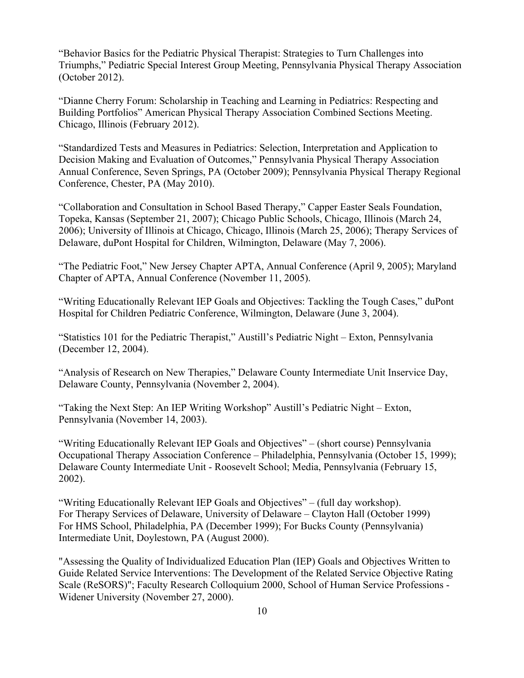"Behavior Basics for the Pediatric Physical Therapist: Strategies to Turn Challenges into Triumphs," Pediatric Special Interest Group Meeting, Pennsylvania Physical Therapy Association (October 2012).

"Dianne Cherry Forum: Scholarship in Teaching and Learning in Pediatrics: Respecting and Building Portfolios" American Physical Therapy Association Combined Sections Meeting. Chicago, Illinois (February 2012).

"Standardized Tests and Measures in Pediatrics: Selection, Interpretation and Application to Decision Making and Evaluation of Outcomes," Pennsylvania Physical Therapy Association Annual Conference, Seven Springs, PA (October 2009); Pennsylvania Physical Therapy Regional Conference, Chester, PA (May 2010).

"Collaboration and Consultation in School Based Therapy," Capper Easter Seals Foundation, Topeka, Kansas (September 21, 2007); Chicago Public Schools, Chicago, Illinois (March 24, 2006); University of Illinois at Chicago, Chicago, Illinois (March 25, 2006); Therapy Services of Delaware, duPont Hospital for Children, Wilmington, Delaware (May 7, 2006).

"The Pediatric Foot," New Jersey Chapter APTA, Annual Conference (April 9, 2005); Maryland Chapter of APTA, Annual Conference (November 11, 2005).

"Writing Educationally Relevant IEP Goals and Objectives: Tackling the Tough Cases," duPont Hospital for Children Pediatric Conference, Wilmington, Delaware (June 3, 2004).

"Statistics 101 for the Pediatric Therapist," Austill's Pediatric Night – Exton, Pennsylvania (December 12, 2004).

"Analysis of Research on New Therapies," Delaware County Intermediate Unit Inservice Day, Delaware County, Pennsylvania (November 2, 2004).

"Taking the Next Step: An IEP Writing Workshop" Austill's Pediatric Night – Exton, Pennsylvania (November 14, 2003).

"Writing Educationally Relevant IEP Goals and Objectives" – (short course) Pennsylvania Occupational Therapy Association Conference – Philadelphia, Pennsylvania (October 15, 1999); Delaware County Intermediate Unit - Roosevelt School; Media, Pennsylvania (February 15, 2002).

"Writing Educationally Relevant IEP Goals and Objectives" – (full day workshop). For Therapy Services of Delaware, University of Delaware – Clayton Hall (October 1999) For HMS School, Philadelphia, PA (December 1999); For Bucks County (Pennsylvania) Intermediate Unit, Doylestown, PA (August 2000).

"Assessing the Quality of Individualized Education Plan (IEP) Goals and Objectives Written to Guide Related Service Interventions: The Development of the Related Service Objective Rating Scale (ReSORS)"; Faculty Research Colloquium 2000, School of Human Service Professions - Widener University (November 27, 2000).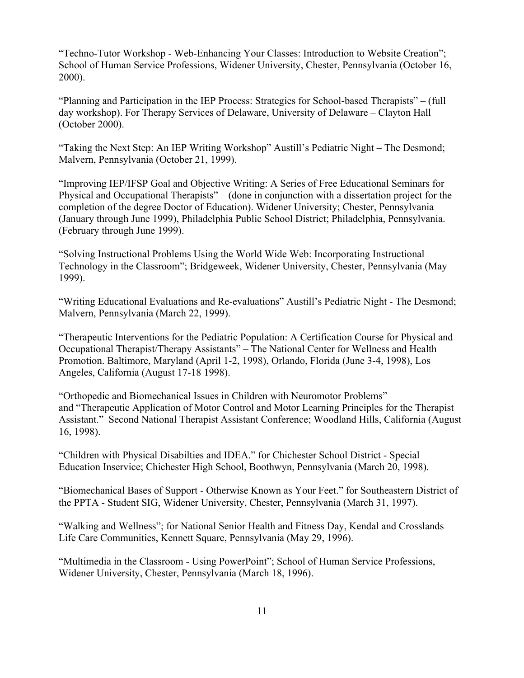"Techno-Tutor Workshop - Web-Enhancing Your Classes: Introduction to Website Creation"; School of Human Service Professions, Widener University, Chester, Pennsylvania (October 16, 2000).

"Planning and Participation in the IEP Process: Strategies for School-based Therapists" – (full day workshop). For Therapy Services of Delaware, University of Delaware – Clayton Hall (October 2000).

"Taking the Next Step: An IEP Writing Workshop" Austill's Pediatric Night – The Desmond; Malvern, Pennsylvania (October 21, 1999).

"Improving IEP/IFSP Goal and Objective Writing: A Series of Free Educational Seminars for Physical and Occupational Therapists" – (done in conjunction with a dissertation project for the completion of the degree Doctor of Education). Widener University; Chester, Pennsylvania (January through June 1999), Philadelphia Public School District; Philadelphia, Pennsylvania. (February through June 1999).

"Solving Instructional Problems Using the World Wide Web: Incorporating Instructional Technology in the Classroom"; Bridgeweek, Widener University, Chester, Pennsylvania (May 1999).

"Writing Educational Evaluations and Re-evaluations" Austill's Pediatric Night - The Desmond; Malvern, Pennsylvania (March 22, 1999).

"Therapeutic Interventions for the Pediatric Population: A Certification Course for Physical and Occupational Therapist/Therapy Assistants" – The National Center for Wellness and Health Promotion. Baltimore, Maryland (April 1-2, 1998), Orlando, Florida (June 3-4, 1998), Los Angeles, California (August 17-18 1998).

"Orthopedic and Biomechanical Issues in Children with Neuromotor Problems" and "Therapeutic Application of Motor Control and Motor Learning Principles for the Therapist Assistant." Second National Therapist Assistant Conference; Woodland Hills, California (August 16, 1998).

"Children with Physical Disabilties and IDEA." for Chichester School District - Special Education Inservice; Chichester High School, Boothwyn, Pennsylvania (March 20, 1998).

"Biomechanical Bases of Support - Otherwise Known as Your Feet." for Southeastern District of the PPTA - Student SIG, Widener University, Chester, Pennsylvania (March 31, 1997).

"Walking and Wellness"; for National Senior Health and Fitness Day, Kendal and Crosslands Life Care Communities, Kennett Square, Pennsylvania (May 29, 1996).

"Multimedia in the Classroom - Using PowerPoint"; School of Human Service Professions, Widener University, Chester, Pennsylvania (March 18, 1996).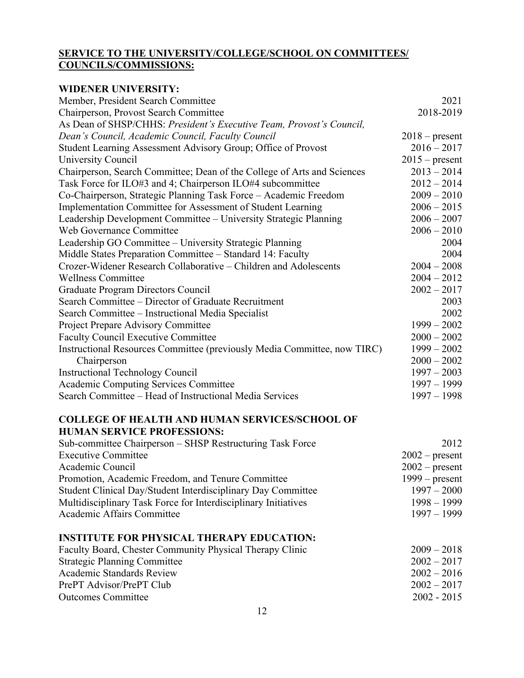### **SERVICE TO THE UNIVERSITY/COLLEGE/SCHOOL ON COMMITTEES/ COUNCILS/COMMISSIONS:**

# **WIDENER UNIVERSITY:**

| Member, President Search Committee                                       | 2021             |
|--------------------------------------------------------------------------|------------------|
| Chairperson, Provost Search Committee                                    | 2018-2019        |
| As Dean of SHSP/CHHS: President's Executive Team, Provost's Council,     |                  |
| Dean's Council, Academic Council, Faculty Council                        | $2018$ – present |
| Student Learning Assessment Advisory Group; Office of Provost            | $2016 - 2017$    |
| University Council                                                       | $2015$ – present |
| Chairperson, Search Committee; Dean of the College of Arts and Sciences  | $2013 - 2014$    |
| Task Force for ILO#3 and 4; Chairperson ILO#4 subcommittee               | $2012 - 2014$    |
| Co-Chairperson, Strategic Planning Task Force - Academic Freedom         | $2009 - 2010$    |
| Implementation Committee for Assessment of Student Learning              | $2006 - 2015$    |
| Leadership Development Committee - University Strategic Planning         | $2006 - 2007$    |
| Web Governance Committee                                                 | $2006 - 2010$    |
| Leadership GO Committee - University Strategic Planning                  | 2004             |
| Middle States Preparation Committee - Standard 14: Faculty               | 2004             |
| Crozer-Widener Research Collaborative – Children and Adolescents         | $2004 - 2008$    |
| <b>Wellness Committee</b>                                                | $2004 - 2012$    |
| <b>Graduate Program Directors Council</b>                                | $2002 - 2017$    |
| Search Committee - Director of Graduate Recruitment                      | 2003             |
| Search Committee - Instructional Media Specialist                        | 2002             |
| <b>Project Prepare Advisory Committee</b>                                | $1999 - 2002$    |
| <b>Faculty Council Executive Committee</b>                               | $2000 - 2002$    |
| Instructional Resources Committee (previously Media Committee, now TIRC) | $1999 - 2002$    |
| Chairperson                                                              | $2000 - 2002$    |
| <b>Instructional Technology Council</b>                                  | $1997 - 2003$    |
| <b>Academic Computing Services Committee</b>                             | $1997 - 1999$    |
| Search Committee - Head of Instructional Media Services                  | $1997 - 1998$    |
| <b>COLLEGE OF HEALTH AND HUMAN SERVICES/SCHOOL OF</b>                    |                  |
| <b>HUMAN SERVICE PROFESSIONS:</b>                                        |                  |
| Sub-committee Chairperson – SHSP Restructuring Task Force                | 2012             |
| <b>Executive Committee</b>                                               | $2002$ – present |
| Academic Council                                                         | $2002$ – present |
| Promotion, Academic Freedom, and Tenure Committee                        | $1999 - present$ |
| Student Clinical Day/Student Interdisciplinary Day Committee             | $1997 - 2000$    |
| Multidisciplinary Task Force for Interdisciplinary Initiatives           | $1998 - 1999$    |
| Academic Affairs Committee                                               | $1997 - 1999$    |
| <b>INSTITUTE FOR PHYSICAL THERAPY EDUCATION:</b>                         |                  |

| Faculty Board, Chester Community Physical Therapy Clinic | $2009 - 2018$ |
|----------------------------------------------------------|---------------|
| <b>Strategic Planning Committee</b>                      | $2002 - 2017$ |
| Academic Standards Review                                | $2002 - 2016$ |
| PrePT Advisor/PrePT Club                                 | $2002 - 2017$ |
| <b>Outcomes Committee</b>                                | $2002 - 2015$ |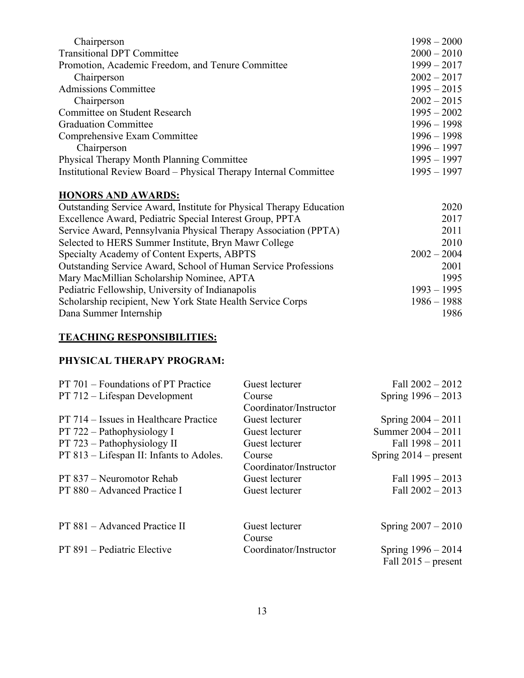| Chairperson                                                      | $1998 - 2000$ |
|------------------------------------------------------------------|---------------|
| <b>Transitional DPT Committee</b>                                | $2000 - 2010$ |
| Promotion, Academic Freedom, and Tenure Committee                | $1999 - 2017$ |
| Chairperson                                                      | $2002 - 2017$ |
| <b>Admissions Committee</b>                                      | $1995 - 2015$ |
| Chairperson                                                      | $2002 - 2015$ |
| Committee on Student Research                                    | $1995 - 2002$ |
| <b>Graduation Committee</b>                                      | $1996 - 1998$ |
| Comprehensive Exam Committee                                     | $1996 - 1998$ |
| Chairperson                                                      | $1996 - 1997$ |
| <b>Physical Therapy Month Planning Committee</b>                 | $1995 - 1997$ |
| Institutional Review Board – Physical Therapy Internal Committee | $1995 - 1997$ |
|                                                                  |               |

# **HONORS AND AWARDS:**

| Outstanding Service Award, Institute for Physical Therapy Education | 2020          |
|---------------------------------------------------------------------|---------------|
| Excellence Award, Pediatric Special Interest Group, PPTA            | 2017          |
| Service Award, Pennsylvania Physical Therapy Association (PPTA)     | 2011          |
| Selected to HERS Summer Institute, Bryn Mawr College                | 2010          |
| Specialty Academy of Content Experts, ABPTS                         | $2002 - 2004$ |
| Outstanding Service Award, School of Human Service Professions      | 2001          |
| Mary MacMillian Scholarship Nominee, APTA                           | 1995          |
| Pediatric Fellowship, University of Indianapolis                    | $1993 - 1995$ |
| Scholarship recipient, New York State Health Service Corps          | $1986 - 1988$ |
| Dana Summer Internship                                              | 1986          |
|                                                                     |               |

# **TEACHING RESPONSIBILITIES:**

### **PHYSICAL THERAPY PROGRAM:**

| PT 701 – Foundations of PT Practice      | Guest lecturer         | Fall $2002 - 2012$                          |
|------------------------------------------|------------------------|---------------------------------------------|
| PT 712 – Lifespan Development            | Course                 | Spring $1996 - 2013$                        |
|                                          | Coordinator/Instructor |                                             |
| PT 714 – Issues in Healthcare Practice   | Guest lecturer         | Spring $2004 - 2011$                        |
| PT 722 – Pathophysiology I               | Guest lecturer         | Summer 2004 - 2011                          |
| PT 723 – Pathophysiology II              | Guest lecturer         | Fall $1998 - 2011$                          |
| PT 813 – Lifespan II: Infants to Adoles. | Course                 | Spring $2014$ – present                     |
|                                          | Coordinator/Instructor |                                             |
| PT 837 – Neuromotor Rehab                | Guest lecturer         | Fall 1995 - 2013                            |
| PT 880 – Advanced Practice I             | Guest lecturer         | Fall $2002 - 2013$                          |
| PT 881 – Advanced Practice II            | Guest lecturer         | Spring $2007 - 2010$                        |
|                                          | Course                 |                                             |
| PT 891 – Pediatric Elective              | Coordinator/Instructor | Spring 1996 - 2014<br>Fall $2015$ – present |